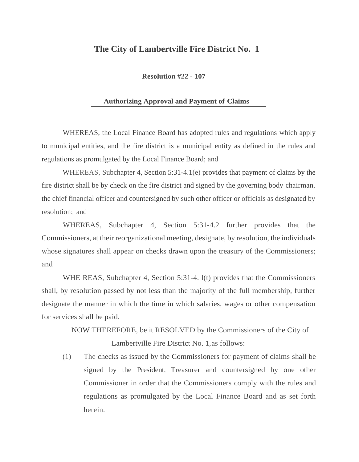## **The City of Lambertville Fire District No. 1**

**Resolution #22 - 107** 

## **Authorizing Approval and Payment of Claims**

WHEREAS, the Local Finance Board has adopted rules and regulations which apply to municipal entities, and the fire district is a municipal entity as defined in the rules and regulations as promulgated by the Local Finance Board; and

WHEREAS, Subchapter 4, Section 5:31-4.1(e) provides that payment of claims by the fire district shall be by check on the fire district and signed by the governing body chairman, the chief financial officer and countersigned by such other officer or officials as designated by resolution; and

WHEREAS, Subchapter 4, Section 5:31-4.2 further provides that the Commissioners, at their reorganizational meeting, designate, by resolution, the individuals whose signatures shall appear on checks drawn upon the treasury of the Commissioners; and

WHE REAS, Subchapter 4, Section 5:31-4. l(t) provides that the Commissioners shall, by resolution passed by not less than the majority of the full membership, further designate the manner in which the time in which salaries, wages or other compensation for services shall be paid.

> NOW THEREFORE, be it RESOLVED by the Commissioners of the City of Lambertville Fire District No. 1,as follows:

(1) The checks as issued by the Commissioners for payment of claims shall be signed by the President, Treasurer and countersigned by one other Commissioner in order that the Commissioners comply with the rules and regulations as promulgated by the Local Finance Board and as set forth herein.